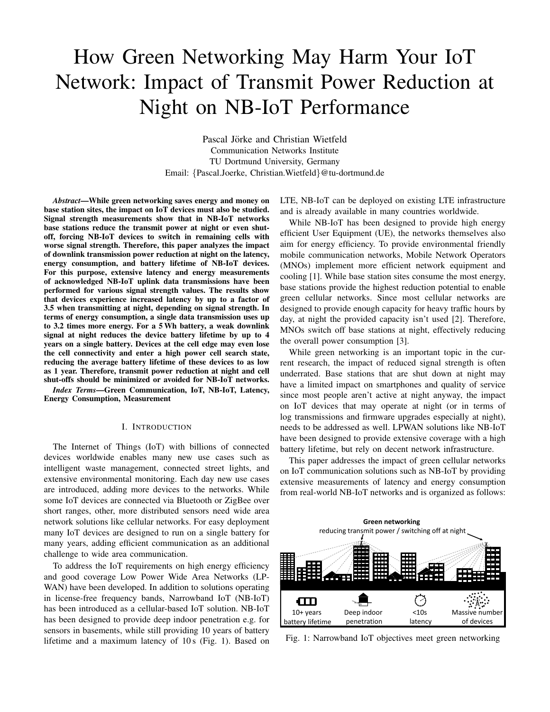# How Green Networking May Harm Your IoT Network: Impact of Transmit Power Reduction at Night on NB-IoT Performance

Pascal Jörke and Christian Wietfeld Communication Networks Institute TU Dortmund University, Germany Email: {Pascal.Joerke, Christian.Wietfeld}@tu-dortmund.de

*Abstract*—While green networking saves energy and money on base station sites, the impact on IoT devices must also be studied. Signal strength measurements show that in NB-IoT networks base stations reduce the transmit power at night or even shutoff, forcing NB-IoT devices to switch in remaining cells with worse signal strength. Therefore, this paper analyzes the impact of downlink transmission power reduction at night on the latency, energy consumption, and battery lifetime of NB-IoT devices. For this purpose, extensive latency and energy measurements of acknowledged NB-IoT uplink data transmissions have been performed for various signal strength values. The results show that devices experience increased latency by up to a factor of 3.5 when transmitting at night, depending on signal strength. In terms of energy consumption, a single data transmission uses up to 3.2 times more energy. For a 5Wh battery, a weak downlink signal at night reduces the device battery lifetime by up to 4 years on a single battery. Devices at the cell edge may even lose the cell connectivity and enter a high power cell search state, reducing the average battery lifetime of these devices to as low as 1 year. Therefore, transmit power reduction at night and cell shut-offs should be minimized or avoided for NB-IoT networks.

*Index Terms*—Green Communication, IoT, NB-IoT, Latency, Energy Consumption, Measurement

#### I. INTRODUCTION

The Internet of Things (IoT) with billions of connected devices worldwide enables many new use cases such as intelligent waste management, connected street lights, and extensive environmental monitoring. Each day new use cases are introduced, adding more devices to the networks. While some IoT devices are connected via Bluetooth or ZigBee over short ranges, other, more distributed sensors need wide area network solutions like cellular networks. For easy deployment many IoT devices are designed to run on a single battery for many years, adding efficient communication as an additional challenge to wide area communication.

To address the IoT requirements on high energy efficiency and good coverage Low Power Wide Area Networks (LP-WAN) have been developed. In addition to solutions operating in license-free frequency bands, Narrowband IoT (NB-IoT) has been introduced as a cellular-based IoT solution. NB-IoT has been designed to provide deep indoor penetration e.g. for sensors in basements, while still providing 10 years of battery lifetime and a maximum latency of 10 s (Fig. 1). Based on LTE, NB-IoT can be deployed on existing LTE infrastructure and is already available in many countries worldwide.

While NB-IoT has been designed to provide high energy efficient User Equipment (UE), the networks themselves also aim for energy efficiency. To provide environmental friendly mobile communication networks, Mobile Network Operators (MNOs) implement more efficient network equipment and cooling [1]. While base station sites consume the most energy, base stations provide the highest reduction potential to enable green cellular networks. Since most cellular networks are designed to provide enough capacity for heavy traffic hours by day, at night the provided capacity isn't used [2]. Therefore, MNOs switch off base stations at night, effectively reducing the overall power consumption [3].

While green networking is an important topic in the current research, the impact of reduced signal strength is often underrated. Base stations that are shut down at night may have a limited impact on smartphones and quality of service since most people aren't active at night anyway, the impact on IoT devices that may operate at night (or in terms of log transmissions and firmware upgrades especially at night), needs to be addressed as well. LPWAN solutions like NB-IoT have been designed to provide extensive coverage with a high battery lifetime, but rely on decent network infrastructure.

This paper addresses the impact of green cellular networks on IoT communication solutions such as NB-IoT by providing extensive measurements of latency and energy consumption from real-world NB-IoT networks and is organized as follows:



Fig. 1: Narrowband IoT objectives meet green networking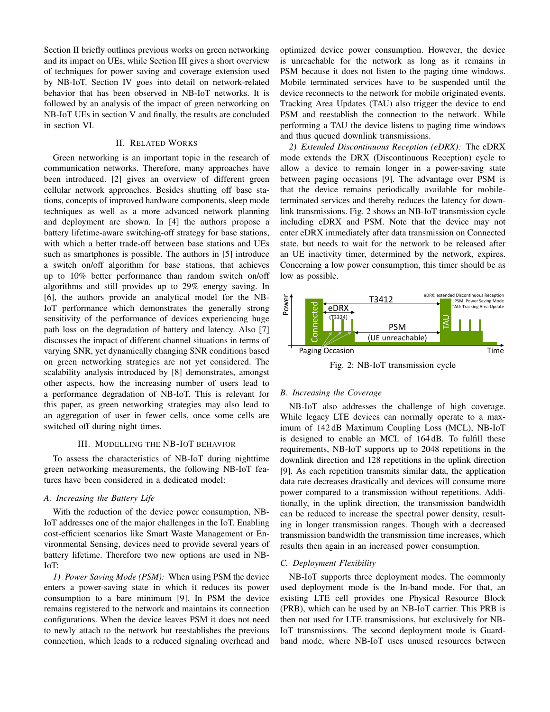Section II briefly outlines previous works on green networking and its impact on UEs, while Section III gives a short overview of techniques for power saving and coverage extension used by NB-IoT. Section IV goes into detail on network-related behavior that has been observed in NB-IoT networks. It is followed by an analysis of the impact of green networking on NB-IoT UEs in section V and finally, the results are concluded in section VI.

# II. RELATED WORKS

Green networking is an important topic in the research of communication networks. Therefore, many approaches have been introduced. [2] gives an overview of different green cellular network approaches. Besides shutting off base stations, concepts of improved hardware components, sleep mode techniques as well as a more advanced network planning and deployment are shown. In [4] the authors propose a battery lifetime-aware switching-off strategy for base stations, with which a better trade-off between base stations and UEs such as smartphones is possible. The authors in [5] introduce a switch on/off algorithm for base stations, that achieves up to 10% better performance than random switch on/off algorithms and still provides up to 29% energy saving. In [6], the authors provide an analytical model for the NB-IoT performance which demonstrates the generally strong sensitivity of the performance of devices experiencing huge path loss on the degradation of battery and latency. Also [7] discusses the impact of different channel situations in terms of varying SNR, yet dynamically changing SNR conditions based on green networking strategies are not yet considered. The scalability analysis introduced by [8] demonstrates, amongst other aspects, how the increasing number of users lead to a performance degradation of NB-IoT. This is relevant for this paper, as green networking strategies may also lead to an aggregation of user in fewer cells, once some cells are switched off during night times.

## III. MODELLING THE NB-IOT BEHAVIOR

To assess the characteristics of NB-IoT during nighttime green networking measurements, the following NB-IoT features have been considered in a dedicated model:

# *A. Increasing the Battery Life*

With the reduction of the device power consumption, NB-IoT addresses one of the major challenges in the IoT. Enabling cost-efficient scenarios like Smart Waste Management or Environmental Sensing, devices need to provide several years of battery lifetime. Therefore two new options are used in NB-IoT:

*1) Power Saving Mode (PSM):* When using PSM the device enters a power-saving state in which it reduces its power consumption to a bare minimum [9]. In PSM the device remains registered to the network and maintains its connection configurations. When the device leaves PSM it does not need to newly attach to the network but reestablishes the previous connection, which leads to a reduced signaling overhead and optimized device power consumption. However, the device is unreachable for the network as long as it remains in PSM because it does not listen to the paging time windows. Mobile terminated services have to be suspended until the device reconnects to the network for mobile originated events. Tracking Area Updates (TAU) also trigger the device to end PSM and reestablish the connection to the network. While performing a TAU the device listens to paging time windows and thus queued downlink transmissions.

*2) Extended Discontinuous Reception (eDRX):* The eDRX mode extends the DRX (Discontinuous Reception) cycle to allow a device to remain longer in a power-saving state between paging occasions [9]. The advantage over PSM is that the device remains periodically available for mobileterminated services and thereby reduces the latency for downlink transmissions. Fig. 2 shows an NB-IoT transmission cycle including eDRX and PSM. Note that the device may not enter eDRX immediately after data transmission on Connected state, but needs to wait for the network to be released after an UE inactivity timer, determined by the network, expires. Concerning a low power consumption, this timer should be as low as possible.



Fig. 2: NB-IoT transmission cycle

### *B. Increasing the Coverage*

NB-IoT also addresses the challenge of high coverage. While legacy LTE devices can normally operate to a maximum of 142 dB Maximum Coupling Loss (MCL), NB-IoT is designed to enable an MCL of 164 dB. To fulfill these requirements, NB-IoT supports up to 2048 repetitions in the downlink direction and 128 repetitions in the uplink direction [9]. As each repetition transmits similar data, the application data rate decreases drastically and devices will consume more power compared to a transmission without repetitions. Additionally, in the uplink direction, the transmission bandwidth can be reduced to increase the spectral power density, resulting in longer transmission ranges. Though with a decreased transmission bandwidth the transmission time increases, which results then again in an increased power consumption.

## *C. Deployment Flexibility*

NB-IoT supports three deployment modes. The commonly used deployment mode is the In-band mode. For that, an existing LTE cell provides one Physical Resource Block (PRB), which can be used by an NB-IoT carrier. This PRB is then not used for LTE transmissions, but exclusively for NB-IoT transmissions. The second deployment mode is Guardband mode, where NB-IoT uses unused resources between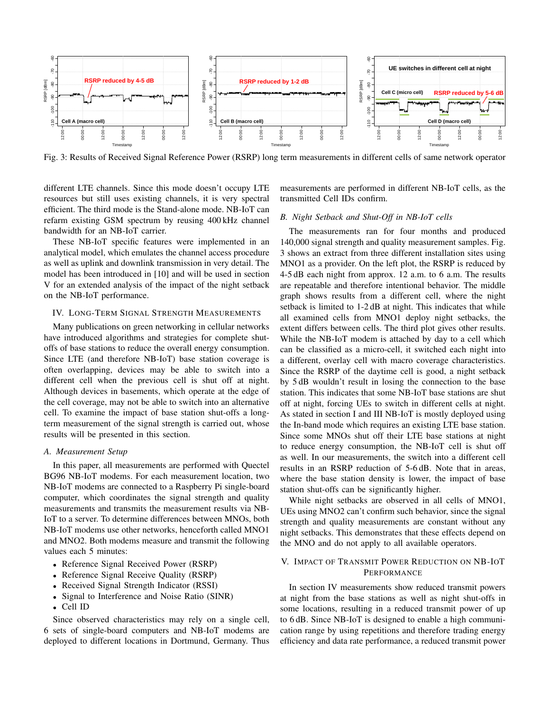

 $Fig. 3: Results of Recei$ ▪ RSRP reduction in between **5-6 dB** re Power (RSRP) Jong te ▪ RSRP reduction in between **1-2 dB** r different cells of same **1** Fig. 3: Results of Received Signal Reference Power (RSRP) long term measurements in different cells of same network operator

efficient. The third mode is the Stand-alone mode. NB-IoT can different LTE channels. Since this mode doesn't occupy LTE resources but still uses existing channels, it is very spectral refarm existing GSM spectrum by reusing 400 kHz channel bandwidth for an NB-IoT carrier.

analytical model, which emulates the channel access procedure 3 shows an extract from three different installation sites usin These NB-IoT specific features were implemented in an as well as uplink and downlink transmission in very detail. The model has been introduced in [10] and will be used in section V for an extended analysis of the impact of the night setback on the NB-IoT performance.

## IV. LONG-TERM SIGNAL STRENGTH MEASUREMENTS

Many publications on green networking in cellular networks have introduced algorithms and strategies for complete shutoffs of base stations to reduce the overall energy consumption. Since LTE (and therefore NB-IoT) base station coverage is often overlapping, devices may be able to switch into a different cell when the previous cell is shut off at night. Although devices in basements, which operate at the edge of the cell coverage, may not be able to switch into an alternative cell. To examine the impact of base station shut-offs a longterm measurement of the signal strength is carried out, whose results will be presented in this section.

## *A. Measurement Setup*

In this paper, all measurements are performed with Quectel BG96 NB-IoT modems. For each measurement location, two NB-IoT modems are connected to a Raspberry Pi single-board computer, which coordinates the signal strength and quality measurements and transmits the measurement results via NB-IoT to a server. To determine differences between MNOs, both NB-IoT modems use other networks, henceforth called MNO1 and MNO2. Both modems measure and transmit the following values each 5 minutes:

- Reference Signal Received Power (RSRP)
- Reference Signal Receive Quality (RSRP)
- Received Signal Strength Indicator (RSSI)
- Signal to Interference and Noise Ratio (SINR)
- Cell ID

Since observed characteristics may rely on a single cell, 6 sets of single-board computers and NB-IoT modems are deployed to different locations in Dortmund, Germany. Thus measurements are performed in different NB-IoT cells, as the transmitted Cell IDs confirm.

# reusing 400 kHz channel B. Night Setback and Shut-Off in NB-IoT cells

The measurements ran for four months and produced 140,000 signal strength and quality measurement samples. Fig. 3 shows an extract from three different installation sites using MNO1 as a provider. On the left plot, the RSRP is reduced by 4-5 dB each night from approx. 12 a.m. to 6 a.m. The results are repeatable and therefore intentional behavior. The middle graph shows results from a different cell, where the night setback is limited to 1-2 dB at night. This indicates that while all examined cells from MNO1 deploy night setbacks, the extent differs between cells. The third plot gives other results. While the NB-IoT modem is attached by day to a cell which can be classified as a micro-cell, it switched each night into a different, overlay cell with macro coverage characteristics. Since the RSRP of the daytime cell is good, a night setback by 5 dB wouldn't result in losing the connection to the base station. This indicates that some NB-IoT base stations are shut off at night, forcing UEs to switch in different cells at night. As stated in section I and III NB-IoT is mostly deployed using the In-band mode which requires an existing LTE base station. Since some MNOs shut off their LTE base stations at night to reduce energy consumption, the NB-IoT cell is shut off as well. In our measurements, the switch into a different cell results in an RSRP reduction of 5-6 dB. Note that in areas, where the base station density is lower, the impact of base station shut-offs can be significantly higher.

> While night setbacks are observed in all cells of MNO1, UEs using MNO2 can't confirm such behavior, since the signal strength and quality measurements are constant without any night setbacks. This demonstrates that these effects depend on the MNO and do not apply to all available operators.

# V. IMPACT OF TRANSMIT POWER REDUCTION ON NB-IOT PERFORMANCE

In section IV measurements show reduced transmit powers at night from the base stations as well as night shut-offs in some locations, resulting in a reduced transmit power of up to 6 dB. Since NB-IoT is designed to enable a high communication range by using repetitions and therefore trading energy efficiency and data rate performance, a reduced transmit power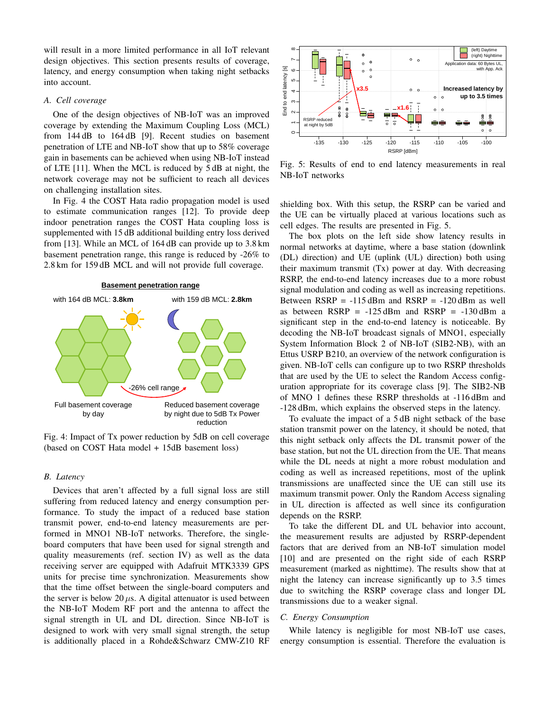will result in a more limited performance in all IoT relevant design objectives. This section presents results of coverage, latency, and energy consumption when taking night setbacks into account.

## *A. Cell coverage*

One of the design objectives of NB-IoT was an improved coverage by extending the Maximum Coupling Loss (MCL) from 144 dB to 164 dB [9]. Recent studies on basement penetration of LTE and NB-IoT show that up to 58% coverage gain in basements can be achieved when using NB-IoT instead of LTE  $[11]$ . When the MCL is reduced by  $5 dB$  at night, the network coverage may not be sufficient to reach all devices on challenging installation sites.

In Fig. 4 the COST Hata radio propagation model is used to estimate communication ranges [12]. To provide deep indoor penetration ranges the COST Hata coupling loss is supplemented with 15 dB additional building entry loss derived<br>The box plots on the left side show li from [13]. While an MCL of 164 dB can provide up to 3.8 km basement penetration range, this range is reduced by -26% to 2.8 km for 159 dB MCL and will not provide full coverage.

#### **Basement penetration range**



Fig. 4: Impact of Tx power reduction by 5dB on cell coverage (based on COST Hata model + 15dB basement loss)

#### *B. Latency*

Devices that aren't affected by a full signal loss are still suffering from reduced latency and energy consumption performance. To study the impact of a reduced base station transmit power, end-to-end latency measurements are performed in MNO1 NB-IoT networks. Therefore, the singleboard computers that have been used for signal strength and quality measurements (ref. section IV) as well as the data receiving server are equipped with Adafruit MTK3339 GPS units for precise time synchronization. Measurements show that the time offset between the single-board computers and the server is below 20  $\mu$ s. A digital attenuator is used between the NB-IoT Modem RF port and the antenna to affect the signal strength in UL and DL direction. Since NB-IoT is designed to work with very small signal strength, the setup is additionally placed in a Rohde&Schwarz CMW-Z10 RF



Fig. 5: Results of end to end latency measurements in real NB-IoT networks

shielding box. With this setup, the RSRP can be varied and the UE can be virtually placed at various locations such as cell edges. The results are presented in Fig. 5.

decoding the NB-IoT broadcast signals of MNO1, especially  $\frac{p_0}{p_1}$  by  $\frac{p_1}{p_2}$  by  $\frac{p_1}{p_1}$  ( $\frac{p_2}{p_2}$   $\frac{p_3}{p_3}$ ), while an Ettus USRP B210, an overview of the network configuration is on **latency** and **power**  given. NB-IoT cells can configure up to two RSRP thresholds that are used by the UE to select the Random Access config-The box plots on the left side show latency results in normal networks at daytime, where a base station (downlink (DL) direction) and UE (uplink (UL) direction) both using their maximum transmit (Tx) power at day. With decreasing RSRP, the end-to-end latency increases due to a more robust signal modulation and coding as well as increasing repetitions. Between  $RSRP = -115$  dBm and  $RSRP = -120$  dBm as well as between  $RSRP = -125$  dBm and  $RSRP = -130$  dBm a significant step in the end-to-end latency is noticeable. By System Information Block 2 of NB-IoT (SIB2-NB), with an uration appropriate for its coverage class [9]. The SIB2-NB of MNO 1 defines these RSRP thresholds at -116 dBm and -128 dBm, which explains the observed steps in the latency.

which are no in the infinite in their recent incomments **How Green Networking May Harm Your IoT Network: Impact of Transmit Power Reduction at Night on NB-IoT Performance** To evaluate the impact of a 5 dB night setback of the base station transmit power on the latency, it should be noted, that this night setback only affects the DL transmit power of the base station, but not the UL direction from the UE. That means while the DL needs at night a more robust modulation and coding as well as increased repetitions, most of the uplink transmissions are unaffected since the UE can still use its maximum transmit power. Only the Random Access signaling in UL direction is affected as well since its configuration depends on the RSRP.

> To take the different DL and UL behavior into account, the measurement results are adjusted by RSRP-dependent factors that are derived from an NB-IoT simulation model [10] and are presented on the right side of each RSRP measurement (marked as nighttime). The results show that at night the latency can increase significantly up to 3.5 times due to switching the RSRP coverage class and longer DL transmissions due to a weaker signal.

# *C. Energy Consumption*

While latency is negligible for most NB-IoT use cases, energy consumption is essential. Therefore the evaluation is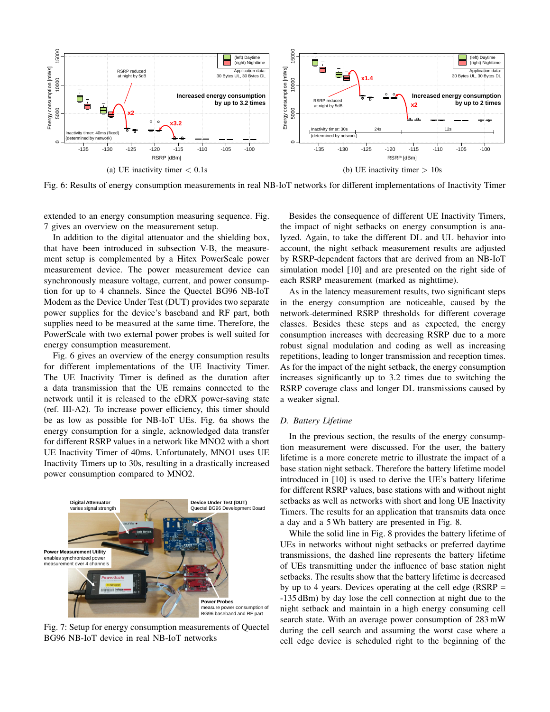

Fig. 6: Results of energy consumption measurements in real NB-IoT networks for different implementations of Inactivity Timer

extended to an energy consumption measuring sequence. Fig. 7 gives an overview on the measurement setup.

In addition to the digital attenuator and the shielding box, that have been introduced in subsection V-B, the measurement setup is complemented by a Hitex PowerScale power measurement device. The power measurement device can synchronously measure voltage, current, and power consumption for up to 4 channels. Since the Quectel BG96 NB-IoT Modem as the Device Under Test (DUT) provides two separate power supplies for the device's baseband and RF part, both supplies need to be measured at the same time. Therefore, the PowerScale with two external power probes is well suited for energy consumption measurement.

Fig. 6 gives an overview of the energy consumption results for different implementations of the UE Inactivity Timer. The UE Inactivity Timer is defined as the duration after a data transmission that the UE remains connected to the network until it is released to the eDRX power-saving state (ref. III-A2). To increase power efficiency, this timer should be as low as possible for NB-IoT UEs. Fig. 6a shows the energy consumption for a single, acknowledged data transfer for different RSRP values in a network like MNO2 with a short UE Inactivity Timer of 40ms. Unfortunately, MNO1 uses UE  $\frac{100}{11}$ Inactivity Timers up to 30s, resulting in a drastically increased  $\frac{net}{base}$ power consumption compared to MNO2.



BG96 NB-IoT device in real NB-IoT networks cell edg Fig. 7: Setup for energy consumption measurements of Quectel

Besides the consequence of different UE Inactivity Timers, the impact of night setbacks on energy consumption is analyzed. Again, to take the different DL and UL behavior into account, the night setback measurement results are adjusted by RSRP-dependent factors that are derived from an NB-IoT simulation model [10] and are presented on the right side of each RSRP measurement (marked as nighttime).

As in the latency measurement results, two significant steps in the energy consumption are noticeable, caused by the network-determined RSRP thresholds for different coverage classes. Besides these steps and as expected, the energy consumption increases with decreasing RSRP due to a more robust signal modulation and coding as well as increasing repetitions, leading to longer transmission and reception times. As for the impact of the night setback, the energy consumption increases significantly up to 3.2 times due to switching the RSRP coverage class and longer DL transmissions caused by a weaker signal.

# *D. Battery Lifetime*

In the previous section, the results of the energy consumption measurement were discussed. For the user, the battery lifetime is a more concrete metric to illustrate the impact of a base station night setback. Therefore the battery lifetime model introduced in [10] is used to derive the UE's battery lifetime for different RSRP values, base stations with and without night setbacks as well as networks with short and long UE Inactivity Timers. The results for an application that transmits data once a day and a 5 Wh battery are presented in Fig. 8.

While the solid line in Fig. 8 provides the battery lifetime of UEs in networks without night setbacks or preferred daytime transmissions, the dashed line represents the battery lifetime of UEs transmitting under the influence of base station night setbacks. The results show that the battery lifetime is decreased by up to 4 years. Devices operating at the cell edge ( $RSRP =$ -135 dBm) by day lose the cell connection at night due to the night setback and maintain in a high energy consuming cell search state. With an average power consumption of 283 mW during the cell search and assuming the worst case where a cell edge device is scheduled right to the beginning of the